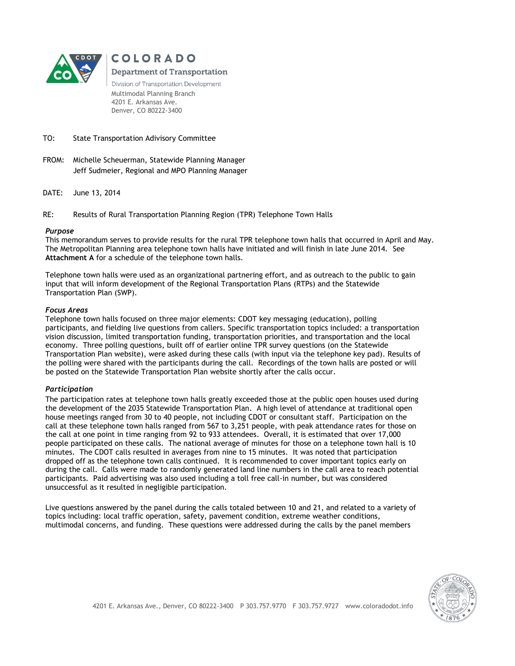

**COLORADO** 

**Department of Transportation** 

Division of Transportation Development Multimodal Planning Branch 4201 E. Arkansas Ave. Denver, CO 80222-3400

### TO: State Transportation Adivisory Committee

- FROM: Michelle Scheuerman, Statewide Planning Manager Jeff Sudmeier, Regional and MPO Planning Manager
- DATE: June 13, 2014

RE: Results of Rural Transportation Planning Region (TPR) Telephone Town Halls

#### *Purpose*

This memorandum serves to provide results for the rural TPR telephone town halls that occurred in April and May. The Metropolitan Planning area telephone town halls have initiated and will finish in late June 2014. See **Attachment A** for a schedule of the telephone town halls.

Telephone town halls were used as an organizational partnering effort, and as outreach to the public to gain input that will inform development of the Regional Transportation Plans (RTPs) and the Statewide Transportation Plan (SWP).

# *Focus Areas*

Telephone town halls focused on three major elements: CDOT key messaging (education), polling participants, and fielding live questions from callers. Specific transportation topics included: a transportation vision discussion, limited transportation funding, transportation priorities, and transportation and the local economy. Three polling questions, built off of earlier online TPR survey questions (on the Statewide Transportation Plan website), were asked during these calls (with input via the telephone key pad). Results of the polling were shared with the participants during the call. Recordings of the town halls are posted or will be posted on the Statewide Transportation Plan website shortly after the calls occur.

#### *Participation*

The participation rates at telephone town halls greatly exceeded those at the public open houses used during the development of the 2035 Statewide Transportation Plan. A high level of attendance at traditional open house meetings ranged from 30 to 40 people, not including CDOT or consultant staff. Participation on the call at these telephone town halls ranged from 567 to 3,251 people, with peak attendance rates for those on the call at one point in time ranging from 92 to 933 attendees. Overall, it is estimated that over 17,000 people participated on these calls. The national average of minutes for those on a telephone town hall is 10 minutes. The CDOT calls resulted in averages from nine to 15 minutes. It was noted that participation dropped off as the telephone town calls continued. It is recommended to cover important topics early on during the call. Calls were made to randomly generated land line numbers in the call area to reach potential participants. Paid advertising was also used including a toll free call-in number, but was considered unsuccessful as it resulted in negligible participation.

Live questions answered by the panel during the calls totaled between 10 and 21, and related to a variety of topics including: local traffic operation, safety, pavement condition, extreme weather conditions, multimodal concerns, and funding. These questions were addressed during the calls by the panel members

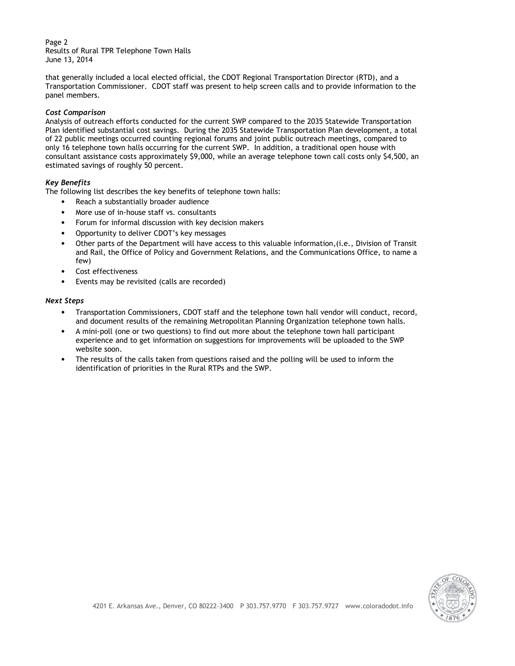Page 2 Results of Rural TPR Telephone Town Halls June 13, 2014

that generally included a local elected official, the CDOT Regional Transportation Director (RTD), and a Transportation Commissioner. CDOT staff was present to help screen calls and to provide information to the panel members.

#### *Cost Comparison*

Analysis of outreach efforts conducted for the current SWP compared to the 2035 Statewide Transportation Plan identified substantial cost savings. During the 2035 Statewide Transportation Plan development, a total of 22 public meetings occurred counting regional forums and joint public outreach meetings, compared to only 16 telephone town halls occurring for the current SWP. In addition, a traditional open house with consultant assistance costs approximately \$9,000, while an average telephone town call costs only \$4,500, an estimated savings of roughly 50 percent.

# *Key Benefits*

The following list describes the key benefits of telephone town halls:

- Reach a substantially broader audience
- More use of in-house staff vs. consultants
- Forum for informal discussion with key decision makers
- Opportunity to deliver CDOT's key messages
- Other parts of the Department will have access to this valuable information,(i.e., Division of Transit and Rail, the Office of Policy and Government Relations, and the Communications Office, to name a few)
- Cost effectiveness
- Events may be revisited (calls are recorded)

# *Next Steps*

- Transportation Commissioners, CDOT staff and the telephone town hall vendor will conduct, record, and document results of the remaining Metropolitan Planning Organization telephone town halls.
- A mini-poll (one or two questions) to find out more about the telephone town hall participant experience and to get information on suggestions for improvements will be uploaded to the SWP website soon.
- The results of the calls taken from questions raised and the polling will be used to inform the identification of priorities in the Rural RTPs and the SWP.